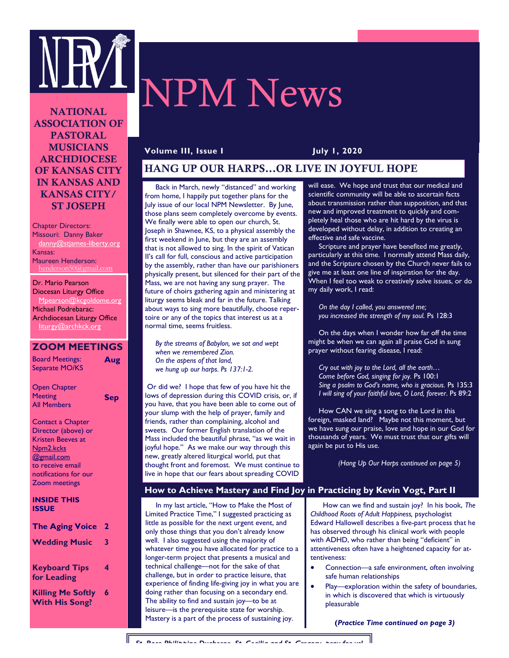

# NPM News

**NATIONAL ASSOCIATION OF PASTORAL MUSICIANS ARCHDIOCESE OF KANSAS CITY IN KANSAS AND KANSAS CITY/ ST JOSEPH** 

Chapter Directors: Missouri: Danny Baker danny@stjames-liberty.org Kansas: Maureen Henderson: henderson50@gmail.com

Dr. Mario Pearson Diocesan Liturgy Office Mpearson@kcgoldome.org Michael Podrebarac: Archdiocesan Liturgy Office liturgy@archkck.org

## **ZOOM MEETINGS**

**Sep** 

Board Meetings: Separate MO/KS **Aug** 

Open Chapter **Meeting** All Members

| Contact a Chapter   |
|---------------------|
| Director (above) or |
| Kristen Beeves at   |
| Npm2.kcks           |
| @gmail.com          |
| ---                 |

to receive email notifications for our Zoom meetings

 $\overline{P}$ 

| <b>INSIDE THIS</b> |  |
|--------------------|--|
| ISSUE              |  |

| <b>The Aging Voice</b>              | 2 |
|-------------------------------------|---|
| <b>Wedding Music</b>                | 3 |
|                                     |   |
| <b>Keyboard Tips</b><br>for Leading | 4 |
| <b>Killing Me Softly</b>            | 6 |
| <b>With His Song?</b>               |   |

## **Volume III, Issue I July 1, 2020**

# **HANG UP OUR HARPS...OR LIVE IN JOYFUL HOPE**

 Back in March, newly "distanced" and working from home, I happily put together plans for the July issue of our local NPM Newsletter. By June, those plans seem completely overcome by events. We finally were able to open our church, St. Joseph in Shawnee, KS, to a physical assembly the first weekend in June, but they are an assembly that is not allowed to sing. In the spirit of Vatican II's call for full, conscious and active participation by the assembly, rather than have our parishioners physically present, but silenced for their part of the Mass, we are not having any sung prayer. The future of choirs gathering again and ministering at liturgy seems bleak and far in the future. Talking about ways to sing more beautifully, choose repertoire or any of the topics that interest us at a normal time, seems fruitless.

 *By the streams of Babylon, we sat and wept when we remembered Zion. On the aspens of that land, we hung up our harps. Ps 137:1-2.* 

Or did we? I hope that few of you have hit the lows of depression during this COVID crisis, or, if you have, that you have been able to come out of your slump with the help of prayer, family and friends, rather than complaining, alcohol and sweets. Our former English translation of the Mass included the beautiful phrase, "as we wait in joyful hope." As we make our way through this new, greatly altered liturgical world, put that thought front and foremost. We must continue to live in hope that our fears about spreading COVID will ease. We hope and trust that our medical and scientific community will be able to ascertain facts about transmission rather than supposition, and that new and improved treatment to quickly and completely heal those who are hit hard by the virus is developed without delay, in addition to creating an effective and safe vaccine.

 Scripture and prayer have benefited me greatly, particularly at this time. I normally attend Mass daily, and the Scripture chosen by the Church never fails to give me at least one line of inspiration for the day. When I feel too weak to creatively solve issues, or do my daily work, I read:

 *On the day I called, you answered me; you increased the strength of my soul.* Ps 128:3

 On the days when I wonder how far off the time might be when we can again all praise God in sung prayer without fearing disease, I read:

 *Cry out with joy to the Lord, all the earth… Come before God, singing for joy.* Ps 100:1 *Sing a psalm to God's name, who is gracious.* Ps 135:3 *I will sing of your faithful love, O Lord, forever*. Ps 89:2

 How CAN we sing a song to the Lord in this foreign, masked land? Maybe not this moment, but we have sung our praise, love and hope in our God for thousands of years. We must trust that our gifts will again be put to His use.

*(Hang Up Our Harps continued on page 5)*

## **How to Achieve Mastery and Find Joy in Practicing by Kevin Vogt, Part II**

 In my last article, "How to Make the Most of Limited Practice Time," I suggested practicing as little as possible for the next urgent event, and only those things that you don't already know well. I also suggested using the majority of whatever time you have allocated for practice to a longer-term project that presents a musical and technical challenge—not for the sake of that challenge, but in order to practice leisure, that experience of finding life-giving joy in what you are doing rather than focusing on a secondary end. The ability to find and sustain joy—to be at leisure—is the prerequisite state for worship. Mastery is a part of the process of sustaining joy.

 How can we find and sustain joy? In his book, *The Childhood Roots of Adult Happiness,* psychologist Edward Hallowell describes a five-part process that he has observed through his clinical work with people with ADHD, who rather than being "deficient" in attentiveness often have a heightened capacity for attentiveness:

- Connection—a safe environment, often involving safe human relationships
- Play—exploration within the safety of boundaries, in which is discovered that which is virtuously pleasurable

**(***Practice Time continued on page 3)*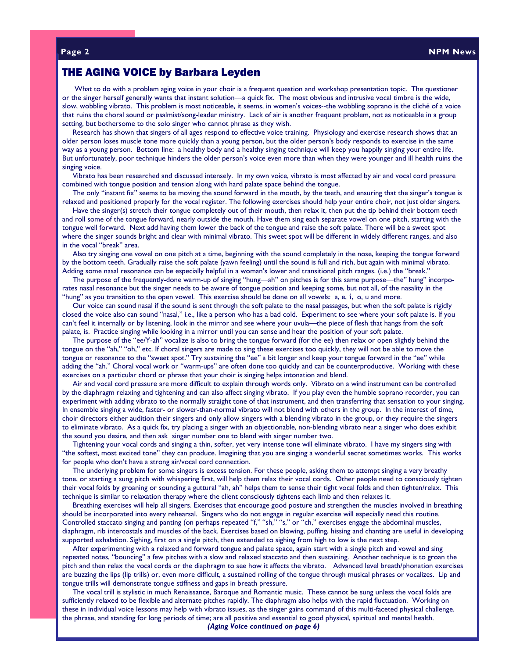## THE AGING VOICE by Barbara Leyden

 What to do with a problem aging voice in your choir is a frequent question and workshop presentation topic. The questioner or the singer herself generally wants that instant solution—a quick fix. The most obvious and intrusive vocal timbre is the wide, slow, wobbling vibrato. This problem is most noticeable, it seems, in women's voices--the wobbling soprano is the cliché of a voice that ruins the choral sound or psalmist/song-leader ministry. Lack of air is another frequent problem, not as noticeable in a group setting, but bothersome to the solo singer who cannot phrase as they wish.

 Research has shown that singers of all ages respond to effective voice training. Physiology and exercise research shows that an older person loses muscle tone more quickly than a young person, but the older person's body responds to exercise in the same way as a young person. Bottom line: a healthy body and a healthy singing technique will keep you happily singing your entire life. But unfortunately, poor technique hinders the older person's voice even more than when they were younger and ill health ruins the singing voice.

 Vibrato has been researched and discussed intensely. In my own voice, vibrato is most affected by air and vocal cord pressure combined with tongue position and tension along with hard palate space behind the tongue.

 The only "instant fix" seems to be moving the sound forward in the mouth, by the teeth, and ensuring that the singer's tongue is relaxed and positioned properly for the vocal register. The following exercises should help your entire choir, not just older singers.

 Have the singer(s) stretch their tongue completely out of their mouth, then relax it, then put the tip behind their bottom teeth and roll some of the tongue forward, nearly outside the mouth. Have them sing each separate vowel on one pitch, starting with the tongue well forward. Next add having them lower the back of the tongue and raise the soft palate. There will be a sweet spot where the singer sounds bright and clear with minimal vibrato. This sweet spot will be different in widely different ranges, and also in the vocal "break" area.

 Also try singing one vowel on one pitch at a time, beginning with the sound completely in the nose, keeping the tongue forward by the bottom teeth. Gradually raise the soft palate (yawn feeling) until the sound is full and rich, but again with minimal vibrato. Adding some nasal resonance can be especially helpful in a woman's lower and transitional pitch ranges. (i.e.) the "break."

 The purpose of the frequently-done warm-up of singing "hung—ah" on pitches is for this same purpose—the" hung" incorporates nasal resonance but the singer needs to be aware of tongue position and keeping some, but not all, of the nasality in the "hung" as you transition to the open vowel. This exercise should be done on all vowels: a, e, i, o, u and more.

 Our voice can sound nasal if the sound is sent through the soft palate to the nasal passages, but when the soft palate is rigidly closed the voice also can sound "nasal," i.e., like a person who has a bad cold. Experiment to see where your soft palate is. If you can't feel it internally or by listening, look in the mirror and see where your uvula—the piece of flesh that hangs from the soft palate, is. Practice singing while looking in a mirror until you can sense and hear the position of your soft palate.

The purpose of the "ee/Y-ah" vocalize is also to bring the tongue forward (for the ee) then relax or open slightly behind the tongue on the "ah," "oh," etc. If choral singers are made to sing these exercises too quickly, they will not be able to move the tongue or resonance to the "sweet spot." Try sustaining the "ee" a bit longer and keep your tongue forward in the "ee" while adding the "ah." Choral vocal work or "warm-ups" are often done too quickly and can be counterproductive. Working with these exercises on a particular chord or phrase that your choir is singing helps intonation and blend.

 Air and vocal cord pressure are more difficult to explain through words only. Vibrato on a wind instrument can be controlled by the diaphragm relaxing and tightening and can also affect singing vibrato. If you play even the humble soprano recorder, you can experiment with adding vibrato to the normally straight tone of that instrument, and then transferring that sensation to your singing. In ensemble singing a wide, faster- or slower-than-normal vibrato will not blend with others in the group. In the interest of time, choir directors either audition their singers and only allow singers with a blending vibrato in the group, or they require the singers to eliminate vibrato. As a quick fix, try placing a singer with an objectionable, non-blending vibrato near a singer who does exhibit the sound you desire, and then ask singer number one to blend with singer number two.

 Tightening your vocal cords and singing a thin, softer, yet very intense tone will eliminate vibrato. I have my singers sing with "the softest, most excited tone" they can produce. Imagining that you are singing a wonderful secret sometimes works. This works for people who don't have a strong air/vocal cord connection.

 The underlying problem for some singers is excess tension. For these people, asking them to attempt singing a very breathy tone, or starting a sung pitch with whispering first, will help them relax their vocal cords. Other people need to consciously tighten their vocal folds by groaning or sounding a guttural "ah, ah" helps them to sense their tight vocal folds and then tighten/relax. This technique is similar to relaxation therapy where the client consciously tightens each limb and then relaxes it.

 Breathing exercises will help all singers. Exercises that encourage good posture and strengthen the muscles involved in breathing should be incorporated into every rehearsal. Singers who do not engage in regular exercise will especially need this routine. Controlled staccato singing and panting (on perhaps repeated "f," "sh," "s," or "ch," exercises engage the abdominal muscles, diaphragm, rib intercostals and muscles of the back. Exercises based on blowing, puffing, hissing and chanting are useful in developing supported exhalation. Sighing, first on a single pitch, then extended to sighing from high to low is the next step.

 After experimenting with a relaxed and forward tongue and palate space, again start with a single pitch and vowel and sing repeated notes, "bouncing" a few pitches with a slow and relaxed staccato and then sustaining. Another technique is to groan the pitch and then relax the vocal cords or the diaphragm to see how it affects the vibrato. Advanced level breath/phonation exercises are buzzing the lips (lip trills) or, even more difficult, a sustained rolling of the tongue through musical phrases or vocalizes. Lip and tongue trills will demonstrate tongue stiffness and gaps in breath pressure.

 The vocal trill is stylistic in much Renaissance, Baroque and Romantic music. These cannot be sung unless the vocal folds are sufficiently relaxed to be flexible and alternate pitches rapidly. The diaphragm also helps with the rapid fluctuation. Working on these in individual voice lessons may help with vibrato issues, as the singer gains command of this multi-faceted physical challenge. the phrase, and standing for long periods of time; are all positive and essential to good physical, spiritual and mental health.

*(Aging Voice continued on page 6)*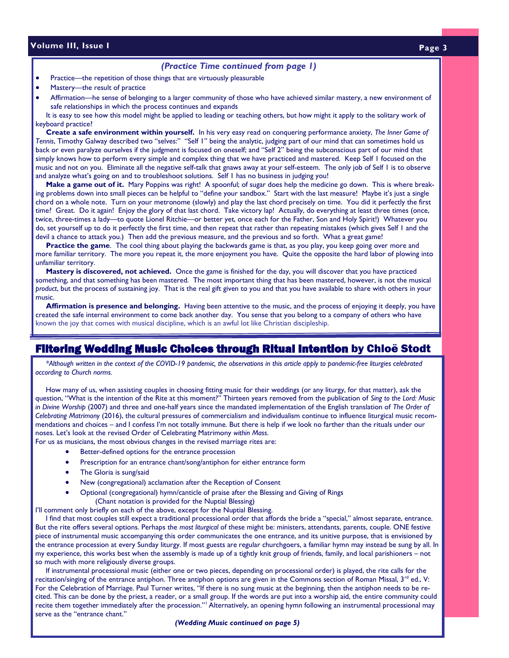#### *(Practice Time continued from page 1)*

- Practice—the repetition of those things that are virtuously pleasurable
- Mastery--- the result of practice

Affirmation—he sense of belonging to a larger community of those who have achieved similar mastery, a new environment of safe relationships in which the process continues and expands

It is easy to see how this model might be applied to leading or teaching others, but how might it apply to the solitary work of keyboard practice?

 **Create a safe environment within yourself.** In his very easy read on conquering performance anxiety, *The Inner Game of Tennis*, Timothy Galway described two "selves:" "Self 1" being the analytic, judging part of our mind that can sometimes hold us back or even paralyze ourselves if the judgment is focused on oneself; and "Self 2" being the subconscious part of our mind that simply knows how to perform every simple and complex thing that we have practiced and mastered. Keep Self 1 focused on the music and not on you. Eliminate all the negative self-talk that gnaws away at your self-esteem. The only job of Self 1 is to observe and analyze what's going on and to troubleshoot solutions. Self 1 has no business in judging you!

 **Make a game out of it.** Mary Poppins was right! A spoonful; of sugar does help the medicine go down. This is where breaking problems down into small pieces can be helpful to "define your sandbox." Start with the last measure! Maybe it's just a single chord on a whole note. Turn on your metronome (slowly) and play the last chord precisely on time. You did it perfectly the first time? Great. Do it again! Enjoy the glory of that last chord. Take victory lap! Actually, do everything at least three times (once, twice, three-times a lady—to quote Lionel Ritchie—or better yet, once each for the Father, Son and Holy Spirit!) Whatever you do, set yourself up to do it perfectly the first time, and then repeat that rather than repeating mistakes (which gives Self 1 and the devil a chance to attack you.) Then add the previous measure, and the previous and so forth. What a great game!

 **Practice the game**. The cool thing about playing the backwards game is that, as you play, you keep going over more and more familiar territory. The more you repeat it, the more enjoyment you have. Quite the opposite the hard labor of plowing into unfamiliar territory.

 **Mastery is discovered, not achieved.** Once the game is finished for the day, you will discover that you have practiced something, and that something has been mastered. The most important thing that has been mastered, however, is not the musical *product*, but the process of sustaining joy. That is the real gift given to you and that you have available to share with others in your music.

 **Affirmation is presence and belonging.** Having been attentive to the music, and the process of enjoying it deeply, you have created the safe internal environment to come back another day. You sense that you belong to a company of others who have known the joy that comes with musical discipline, which is an awful lot like Christian discipleship.

# **Filtering Wedding Music Choices through Ritual Intention** by Chloë Stodt

 *\*Although written in the context of the COVID-19 pandemic, the observations in this article apply to pandemic-free liturgies celebrated according to Church norms.* 

 How many of us, when assisting couples in choosing fitting music for their weddings (or any liturgy, for that matter), ask the question, "What is the intention of the Rite at this moment?" Thirteen years removed from the publication of *Sing to the Lord: Music in Divine Worship* (2007) and three and one-half years since the mandated implementation of the English translation of *The Order of Celebrating Matrimony* (2016), the cultural pressures of commercialism and individualism continue to influence liturgical music recommendations and choices – and I confess I'm not totally immune. But there is help if we look no farther than the rituals under our noses. Let's look at the revised Order of Celebrating Matrimony *within Mass*.

For us as musicians, the most obvious changes in the revised marriage rites are:

- Better-defined options for the entrance procession
- Prescription for an entrance chant/song/antiphon for either entrance form
- The Gloria is sung/said
- New (congregational) acclamation after the Reception of Consent
- · Optional (congregational) hymn/canticle of praise after the Blessing and Giving of Rings (Chant notation is provided for the Nuptial Blessing)

I'll comment only briefly on each of the above, except for the Nuptial Blessing.

 I find that most couples still expect a traditional processional order that affords the bride a "special," almost separate, entrance. But the rite offers several options. Perhaps the *most liturgical* of these might be: ministers, attendants, parents, couple. ONE festive piece of instrumental music accompanying this order communicates the one entrance, and its unitive purpose, that is envisioned by the entrance procession at every Sunday liturgy. If most guests are regular churchgoers, a familiar hymn may instead be sung by all. In my experience, this works best when the assembly is made up of a tightly knit group of friends, family, and local parishioners – not so much with more religiously diverse groups.

 If instrumental processional music (either one or two pieces, depending on processional order) is played, the rite calls for the recitation/singing of the entrance antiphon. Three antiphon options are given in the Commons section of Roman Missal, 3<sup>rd</sup> ed., V: For the Celebration of Marriage. Paul Turner writes, "If there is no sung music at the beginning, then the antiphon needs to be recited. This can be done by the priest, a reader, or a small group. If the words are put into a worship aid, the entire community could recite them together immediately after the procession."<sup>1</sup> Alternatively, an opening hymn following an instrumental processional may serve as the "entrance chant."

*(Wedding Music continued on page 5)*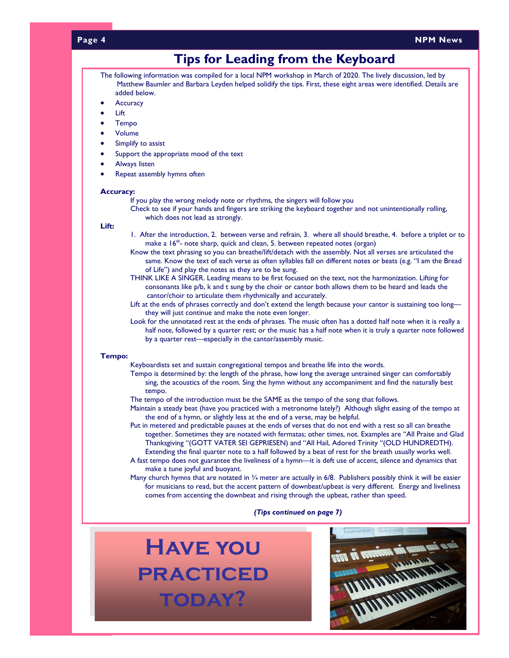#### **Page 4**

#### **NPM News**

# **Tips for Leading from the Keyboard**

- The following information was compiled for a local NPM workshop in March of 2020. The lively discussion, led by Matthew Baumler and Barbara Leyden helped solidify the tips. First, these eight areas were identified. Details are added below.
- **Accuracy**
- · Lift
- · Tempo
- · Volume
- Simplify to assist
- Support the appropriate mood of the text
- Always listen
- Repeat assembly hymns often

#### **Accuracy:**

If you play the wrong melody note or rhythms, the singers will follow you

Check to see if your hands and fingers are striking the keyboard together and not unintentionally rolling, which does not lead as strongly.

#### **Lift:**

- 1. After the introduction, 2. between verse and refrain, 3. where all should breathe, 4. before a triplet or to make a 16<sup>th</sup>- note sharp, quick and clean, 5. between repeated notes (organ)
- Know the text phrasing so you can breathe/lift/detach with the assembly. Not all verses are articulated the same. Know the text of each verse as often syllables fall on different notes or beats (e.g. "I am the Bread of Life") and play the notes as they are to be sung.
- THINK LIKE A SINGER. Leading means to be first focused on the text, not the harmonization. Lifting for consonants like p/b, k and t sung by the choir or cantor both allows them to be heard and leads the cantor/choir to articulate them rhythmically and accurately.
- Lift at the ends of phrases correctly and don't extend the length because your cantor is sustaining too long they will just continue and make the note even longer.
- Look for the unnotated rest at the ends of phrases. The music often has a dotted half note when it is really a half note, followed by a quarter rest; or the music has a half note when it is truly a quarter note followed by a quarter rest—especially in the cantor/assembly music.

#### **Tempo:**

Keyboardists set and sustain congregational tempos and breathe life into the words.

- Tempo is determined by: the length of the phrase, how long the average untrained singer can comfortably sing, the acoustics of the room. Sing the hymn without any accompaniment and find the naturally best tempo.
- The tempo of the introduction must be the SAME as the tempo of the song that follows.
- Maintain a steady beat (have you practiced with a metronome lately?) Although slight easing of the tempo at the end of a hymn, or slightly less at the end of a verse, may be helpful.
- Put in metered and predictable pauses at the ends of verses that do not end with a rest so all can breathe together. Sometimes they are notated with fermatas; other times, not. Examples are "All Praise and Glad Thanksgiving "(GOTT VATER SEI GEPRIESEN) and "All Hail, Adored Trinity "(OLD HUNDREDTH). Extending the final quarter note to a half followed by a beat of rest for the breath usually works well.
- A fast tempo does not guarantee the liveliness of a hymn—it is deft use of accent, silence and dynamics that make a tune joyful and buoyant.
- Many church hymns that are notated in  $\frac{3}{4}$  meter are actually in 6/8. Publishers possibly think it will be easier for musicians to read, but the accent pattern of downbeat/upbeat is very different. Energy and liveliness comes from accenting the downbeat and rising through the upbeat, rather than speed.

#### *(Tips continued on page 7)*

**Have you practiced today?** 

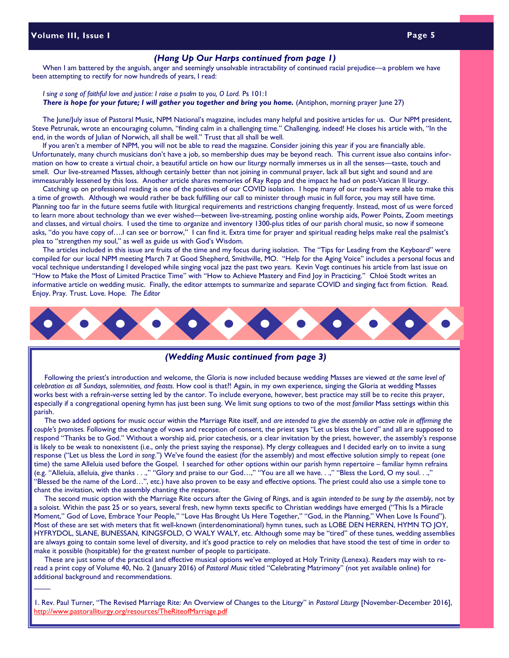$\overline{\phantom{a}}$ 

#### *(Hang Up Our Harps continued from page 1)*

When I am battered by the anguish, anger and seemingly unsolvable intractability of continued racial prejudice—a problem we have been attempting to rectify for now hundreds of years, I read:

#### *I sing a song of faithful love and justice: I raise a psalm to you, O Lord.* Ps 101:1 *There is hope for your future; I will gather you together and bring you home.* (Antiphon, morning prayer June 27)

 The June/July issue of Pastoral Music, NPM National's magazine, includes many helpful and positive articles for us. Our NPM president, Steve Petrunak, wrote an encouraging column, "finding calm in a challenging time." Challenging, indeed! He closes his article with, "In the end, in the words of Julian of Norwich, all shall be well." Trust that all shall be well.

 If you aren't a member of NPM, you will not be able to read the magazine. Consider joining this year if you are financially able. Unfortunately, many church musicians don't have a job, so membership dues may be beyond reach. This current issue also contains information on how to create a virtual choir, a beautiful article on how our liturgy normally immerses us in all the senses—taste, touch and smell. Our live-streamed Masses, although certainly better than not joining in communal prayer, lack all but sight and sound and are immeasurably lessened by this loss. Another article shares memories of Ray Repp and the impact he had on post-Vatican II liturgy.

 Catching up on professional reading is one of the positives of our COVID isolation. I hope many of our readers were able to make this a time of growth. Although we would rather be back fulfilling our call to minister through music in full force, you may still have time. Planning too far in the future seems futile with liturgical requirements and restrictions changing frequently. Instead, most of us were forced to learn more about technology than we ever wished—between live-streaming, posting online worship aids, Power Points, Zoom meetings and classes, and virtual choirs. I used the time to organize and inventory 1300-plus titles of our parish choral music, so now if someone asks, "do you have copy of.... I can see or borrow," I can find it. Extra time for prayer and spiritual reading helps make real the psalmist's plea to "strengthen my soul," as well as guide us with God's Wisdom.

 The articles included in this issue are fruits of the time and my focus during isolation. The "Tips for Leading from the Keyboard" were compiled for our local NPM meeting March 7 at Good Shepherd, Smithville, MO. "Help for the Aging Voice" includes a personal focus and vocal technique understanding I developed while singing vocal jazz the past two years. Kevin Vogt continues his article from last issue on "How to Make the Most of Limited Practice Time" with "How to Achieve Mastery and Find Joy in Practicing." Chloë Stodt writes an informative article on wedding music. Finally, the editor attempts to summarize and separate COVID and singing fact from fiction. Read. Enjoy. Pray. Trust. Love. Hope. *The Editor*



#### *(Wedding Music continued from page 3)*

 Following the priest's introduction and welcome, the Gloria is now included because wedding Masses are viewed *at the same level of celebration as all Sundays, solemnities, and feasts.* How cool is that?! Again, in my own experience, singing the Gloria at wedding Masses works best with a refrain-verse setting led by the cantor. To include everyone, however, best practice may still be to recite this prayer, especially if a congregational opening hymn has just been sung. We limit sung options to two of the *most familiar* Mass settings within this parish.

 The two added options for music occur within the Marriage Rite itself, and *are intended to give the assembly an active role in affirming the couple's promises.* Following the exchange of vows and reception of consent, the priest says "Let us bless the Lord" and all are supposed to respond "Thanks be to God." Without a worship aid, prior catechesis, or a clear invitation by the priest, however, the assembly's response is likely to be weak to nonexistent (i.e., only the priest saying the response). My clergy colleagues and I decided early on to invite a sung response ("Let us bless the Lord *in song*.") We've found the easiest (for the assembly) and most effective solution simply to repeat (one time) the same Alleluia used before the Gospel. I searched for other options within our parish hymn repertoire – familiar hymn refrains (e.g. "Alleluia, alleluia, give thanks . . .," "Glory and praise to our God…," "You are all we have. . .," "Bless the Lord, O my soul. . .," "Blessed be the name of the Lord…", etc.) have also proven to be easy and effective options. The priest could also use a simple tone to chant the invitation, with the assembly chanting the response.

 The second music option with the Marriage Rite occurs after the Giving of Rings, and is again *intended to be sung by the assembly*, not by a soloist. Within the past 25 or so years, several fresh, new hymn texts specific to Christian weddings have emerged ("This Is a Miracle Moment," God of Love, Embrace Your People," "Love Has Brought Us Here Together," "God, in the Planning," When Love Is Found"). Most of these are set with meters that fit well-known (interdenominational) hymn tunes, such as LOBE DEN HERREN, HYMN TO JOY, HYFRYDOL, SLANE, BUNESSAN, KINGSFOLD, O WALY WALY, etc. Although some may be "tired" of these tunes, wedding assemblies are always going to contain some level of diversity, and it's good practice to rely on melodies that have stood the test of time in order to make it possible (hospitable) for the greatest number of people to participate.

 These are just some of the practical and effective musical options we've employed at Holy Trinity (Lenexa). Readers may wish to reread a print copy of Volume 40, No. 2 (January 2016) of *Pastoral Music* titled "Celebrating Matrimony" (not yet available online) for additional background and recommendations.

1. Rev. Paul Turner, "The Revised Marriage Rite: An Overview of Changes to the Liturgy" in *Pastoral Liturgy* [November-December 2016], http://www.pastoralliturgy.org/resources/TheRiteofMarriage.pdf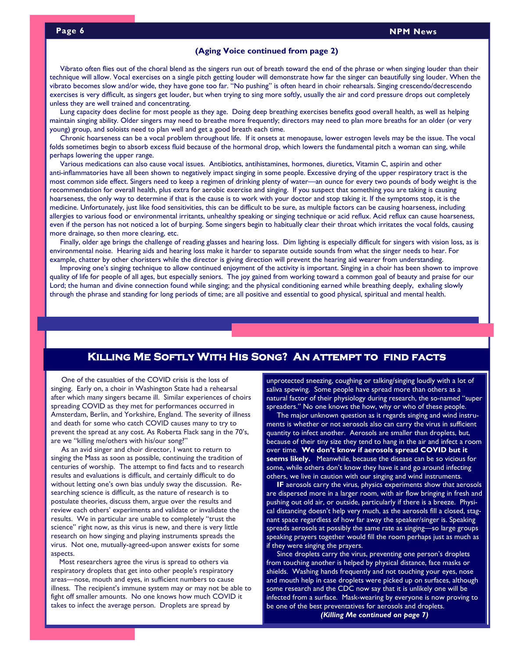#### **(Aging Voice continued from page 2)**

 Vibrato often flies out of the choral blend as the singers run out of breath toward the end of the phrase or when singing louder than their technique will allow. Vocal exercises on a single pitch getting louder will demonstrate how far the singer can beautifully sing louder. When the vibrato becomes slow and/or wide, they have gone too far. "No pushing" is often heard in choir rehearsals. Singing crescendo/decrescendo exercises is very difficult, as singers get louder, but when trying to sing more softly, usually the air and cord pressure drops out completely unless they are well trained and concentrating.

 Lung capacity does decline for most people as they age. Doing deep breathing exercises benefits good overall health, as well as helping maintain singing ability. Older singers may need to breathe more frequently; directors may need to plan more breaths for an older (or very young) group, and soloists need to plan well and get a good breath each time.

 Chronic hoarseness can be a vocal problem throughout life. If it onsets at menopause, lower estrogen levels may be the issue. The vocal folds sometimes begin to absorb excess fluid because of the hormonal drop, which lowers the fundamental pitch a woman can sing, while perhaps lowering the upper range.

 Various medications can also cause vocal issues. Antibiotics, antihistamines, hormones, diuretics, Vitamin C, aspirin and other anti-inflammatories have all been shown to negatively impact singing in some people. Excessive drying of the upper respiratory tract is the most common side effect. Singers need to keep a regimen of drinking plenty of water—an ounce for every two pounds of body weight is the recommendation for overall health, plus extra for aerobic exercise and singing. If you suspect that something you are taking is causing hoarseness, the only way to determine if that is the cause is to work with your doctor and stop taking it. If the symptoms stop, it is the medicine. Unfortunately, just like food sensitivities, this can be difficult to be sure, as multiple factors can be causing hoarseness, including allergies to various food or environmental irritants, unhealthy speaking or singing technique or acid reflux. Acid reflux can cause hoarseness, even if the person has not noticed a lot of burping. Some singers begin to habitually clear their throat which irritates the vocal folds, causing more drainage, so then more clearing, etc.

 Finally, older age brings the challenge of reading glasses and hearing loss. Dim lighting is especially difficult for singers with vision loss, as is environmental noise. Hearing aids and hearing loss make it harder to separate outside sounds from what the singer needs to hear. For example, chatter by other choristers while the director is giving direction will prevent the hearing aid wearer from understanding.

 Improving one's singing technique to allow continued enjoyment of the activity is important. Singing in a choir has been shown to improve quality of life for people of all ages, but especially seniors. The joy gained from working toward a common goal of beauty and praise for our Lord; the human and divine connection found while singing; and the physical conditioning earned while breathing deeply, exhaling slowly through the phrase and standing for long periods of time; are all positive and essential to good physical, spiritual and mental health.

# **Killing Me Softly With His Song? An attempt to find facts**

 One of the casualties of the COVID crisis is the loss of singing. Early on, a choir in Washington State had a rehearsal after which many singers became ill. Similar experiences of choirs spreading COVID as they met for performances occurred in Amsterdam, Berlin, and Yorkshire, England. The severity of illness and death for some who catch COVID causes many to try to prevent the spread at any cost. As Roberta Flack sang in the 70's, are we "killing me/others with his/our song?"

 As an avid singer and choir director, I want to return to singing the Mass as soon as possible, continuing the tradition of centuries of worship. The attempt to find facts and to research results and evaluations is difficult, and certainly difficult to do without letting one's own bias unduly sway the discussion. Researching science is difficult, as the nature of research is to postulate theories, discuss them, argue over the results and review each others' experiments and validate or invalidate the results. We in particular are unable to completely "trust the science" right now, as this virus is new, and there is very little research on how singing and playing instruments spreads the virus. Not one, mutually-agreed-upon answer exists for some aspects.

 Most researchers agree the virus is spread to others via respiratory droplets that get into other people's respiratory areas—nose, mouth and eyes, in sufficient numbers to cause illness. The recipient's immune system may or may not be able to fight off smaller amounts. No one knows how much COVID it takes to infect the average person. Droplets are spread by

unprotected sneezing, coughing or talking/singing loudly with a lot of saliva spewing. Some people have spread more than others as a natural factor of their physiology during research, the so-named "super spreaders." No one knows the how, why or who of these people.

 The major unknown question as it regards singing and wind instruments is whether or not aerosols also can carry the virus in sufficient quantity to infect another. Aerosols are smaller than droplets, but, because of their tiny size they tend to hang in the air and infect a room over time. **We don't know if aerosols spread COVID but it seems likely.** Meanwhile, because the disease can be so vicious for some, while others don't know they have it and go around infecting others, we live in caution with our singing and wind instruments.

 **IF** aerosols carry the virus, physics experiments show that aerosols are dispersed more in a larger room, with air flow bringing in fresh and pushing out old air, or outside, particularly if there is a breeze. Physical distancing doesn't help very much, as the aerosols fill a closed, stagnant space regardless of how far away the speaker/singer is. Speaking spreads aerosols at possibly the same rate as singing—so large groups speaking prayers together would fill the room perhaps just as much as if they were singing the prayers.

 Since droplets carry the virus, preventing one person's droplets from touching another is helped by physical distance, face masks or shields. Washing hands frequently and not touching your eyes, nose and mouth help in case droplets were picked up on surfaces, although some research and the CDC now say that it is unlikely one will be infected from a surface. Mask-wearing by everyone is now proving to be one of the best preventatives for aerosols and droplets. *(Killing Me continued on page 7)*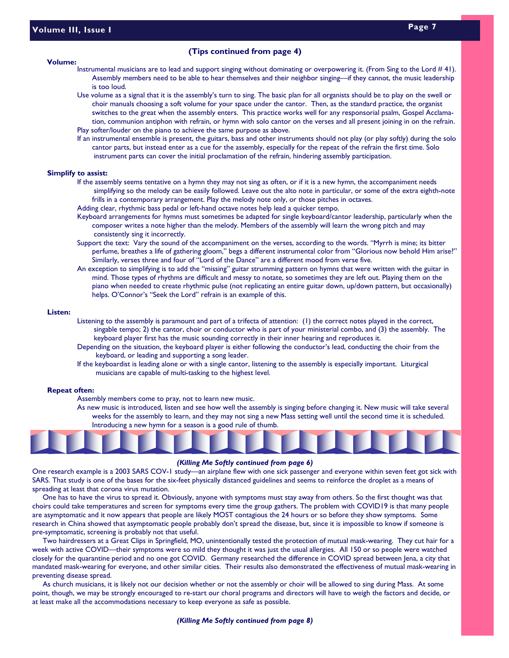#### **Volume:**

#### **(Tips continued from page 4)**

- Instrumental musicians are to lead and support singing without dominating or overpowering it. (From Sing to the Lord #41). Assembly members need to be able to hear themselves and their neighbor singing—if they cannot, the music leadership is too loud.
	- Use volume as a signal that it is the assembly's turn to sing. The basic plan for all organists should be to play on the swell or choir manuals choosing a soft volume for your space under the cantor. Then, as the standard practice, the organist switches to the great when the assembly enters. This practice works well for any responsorial psalm, Gospel Acclamation, communion antiphon with refrain, or hymn with solo cantor on the verses and all present joining in on the refrain. Play softer/louder on the piano to achieve the same purpose as above.
- 
- If an instrumental ensemble is present, the guitars, bass and other instruments should not play (or play softly) during the solo cantor parts, but instead enter as a cue for the assembly, especially for the repeat of the refrain the first time. Solo instrument parts can cover the initial proclamation of the refrain, hindering assembly participation.

#### **Simplify to assist:**

- If the assembly seems tentative on a hymn they may not sing as often, or if it is a new hymn, the accompaniment needs simplifying so the melody can be easily followed. Leave out the alto note in particular, or some of the extra eighth-note frills in a contemporary arrangement. Play the melody note only, or those pitches in octaves.
- Adding clear, rhythmic bass pedal or left-hand octave notes help lead a quicker tempo.
- Keyboard arrangements for hymns must sometimes be adapted for single keyboard/cantor leadership, particularly when the composer writes a note higher than the melody. Members of the assembly will learn the wrong pitch and may consistently sing it incorrectly.
- Support the text: Vary the sound of the accompaniment on the verses, according to the words. "Myrrh is mine; its bitter perfume, breathes a life of gathering gloom," begs a different instrumental color from "Glorious now behold Him arise?" Similarly, verses three and four of "Lord of the Dance" are a different mood from verse five.
- An exception to simplifying is to add the "missing" guitar strumming pattern on hymns that were written with the guitar in mind. Those types of rhythms are difficult and messy to notate, so sometimes they are left out. Playing them on the piano when needed to create rhythmic pulse (not replicating an entire guitar down, up/down pattern, but occasionally) helps. O'Connor's "Seek the Lord" refrain is an example of this.

#### **Listen:**

- Listening to the assembly is paramount and part of a trifecta of attention: (1) the correct notes played in the correct, singable tempo; 2) the cantor, choir or conductor who is part of your ministerial combo, and (3) the assembly. The keyboard player first has the music sounding correctly in their inner hearing and reproduces it.
- Depending on the situation, the keyboard player is either following the conductor's lead, conducting the choir from the keyboard, or leading and supporting a song leader.
- If the keyboardist is leading alone or with a single cantor, listening to the assembly is especially important. Liturgical musicians are capable of multi-tasking to the highest level.

#### **Repeat often:**

Assembly members come to pray, not to learn new music.

As new music is introduced, listen and see how well the assembly is singing before changing it. New music will take several weeks for the assembly to learn, and they may not sing a new Mass setting well until the second time it is scheduled. Introducing a new hymn for a season is a good rule of thumb.



#### *(Killing Me Softly continued from page 6)*

One research example is a 2003 SARS COV-1 study—an airplane flew with one sick passenger and everyone within seven feet got sick with SARS. That study is one of the bases for the six-feet physically distanced guidelines and seems to reinforce the droplet as a means of spreading at least that corona virus mutation.

 One has to have the virus to spread it. Obviously, anyone with symptoms must stay away from others. So the first thought was that choirs could take temperatures and screen for symptoms every time the group gathers. The problem with COVID19 is that many people are asymptomatic and it now appears that people are likely MOST contagious the 24 hours or so before they show symptoms. Some research in China showed that asymptomatic people probably don't spread the disease, but, since it is impossible to know if someone is pre-symptomatic, screening is probably not that useful.

 Two hairdressers at a Great Clips in Springfield, MO, unintentionally tested the protection of mutual mask-wearing. They cut hair for a week with active COVID—their symptoms were so mild they thought it was just the usual allergies. All 150 or so people were watched closely for the quarantine period and no one got COVID. Germany researched the difference in COVID spread between Jena, a city that mandated mask-wearing for everyone, and other similar cities. Their results also demonstrated the effectiveness of mutual mask-wearing in preventing disease spread.

 As church musicians, it is likely not our decision whether or not the assembly or choir will be allowed to sing during Mass. At some point, though, we may be strongly encouraged to re-start our choral programs and directors will have to weigh the factors and decide, or at least make all the accommodations necessary to keep everyone as safe as possible.